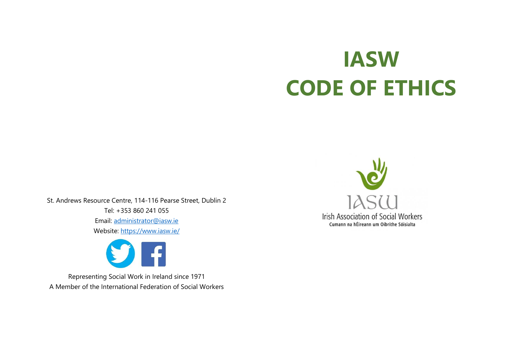# **IASW CODE OF ETHICS**

St. Andrews Resource Centre, 114-116 Pearse Street, Dublin 2 Tel: +353 860 241 055 Email: [administrator@iasw.ie](mailto:administrator@iasw.ie) Website:<https://www.iasw.ie/>



Representing Social Work in Ireland since 1971 A Member of the International Federation of Social Workers

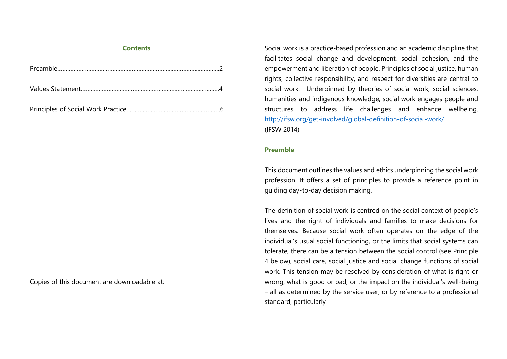#### **Contents**

Copies of this document are downloadable at:

Social work is a practice-based profession and an academic discipline that facilitates social change and development, social cohesion, and the empowerment and liberation of people. Principles of social justice, human rights, collective responsibility, and respect for diversities are central to social work. Underpinned by theories of social work, social sciences, humanities and indigenous knowledge, social work engages people and structures to address life challenges and enhance wellbeing. <http://ifsw.org/get-involved/global-definition-of-social-work/> (IFSW 2014)

# **Preamble**

This document outlines the values and ethics underpinning the social work profession. It offers a set of principles to provide a reference point in guiding day-to-day decision making.

The definition of social work is centred on the social context of people's lives and the right of individuals and families to make decisions for themselves. Because social work often operates on the edge of the individual's usual social functioning, or the limits that social systems can tolerate, there can be a tension between the social control (see Principle 4 below), social care, social justice and social change functions of social work. This tension may be resolved by consideration of what is right or wrong; what is good or bad; or the impact on the individual's well-being – all as determined by the service user, or by reference to a professional standard, particularly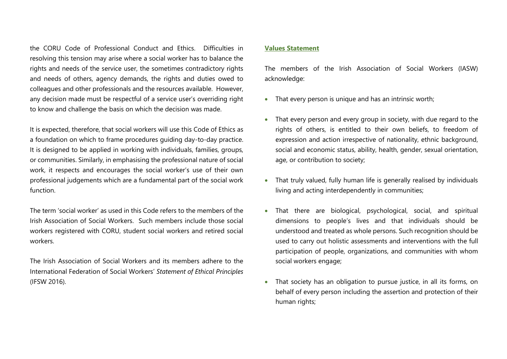the CORU Code of Professional Conduct and Ethics. Difficulties in resolving this tension may arise where a social worker has to balance the rights and needs of the service user, the sometimes contradictory rights and needs of others, agency demands, the rights and duties owed to colleagues and other professionals and the resources available. However, any decision made must be respectful of a service user's overriding right to know and challenge the basis on which the decision was made.

It is expected, therefore, that social workers will use this Code of Ethics as a foundation on which to frame procedures guiding day-to-day practice. It is designed to be applied in working with individuals, families, groups, or communities. Similarly, in emphasising the professional nature of social work, it respects and encourages the social worker's use of their own professional judgements which are a fundamental part of the social work function.

The term 'social worker' as used in this Code refers to the members of the Irish Association of Social Workers. Such members include those social workers registered with CORU, student social workers and retired social workers.

The Irish Association of Social Workers and its members adhere to the International Federation of Social Workers' *Statement of Ethical Principles* (IFSW 2016).

## **Values Statement**

The members of the Irish Association of Social Workers (IASW) acknowledge:

- That every person is unique and has an intrinsic worth;
- That every person and every group in society, with due regard to the rights of others, is entitled to their own beliefs, to freedom of expression and action irrespective of nationality, ethnic background, social and economic status, ability, health, gender, sexual orientation, age, or contribution to society;
- That truly valued, fully human life is generally realised by individuals living and acting interdependently in communities;
- That there are biological, psychological, social, and spiritual dimensions to people's lives and that individuals should be understood and treated as whole persons. Such recognition should be used to carry out holistic assessments and interventions with the full participation of people, organizations, and communities with whom social workers engage;
- That society has an obligation to pursue justice, in all its forms, on behalf of every person including the assertion and protection of their human rights;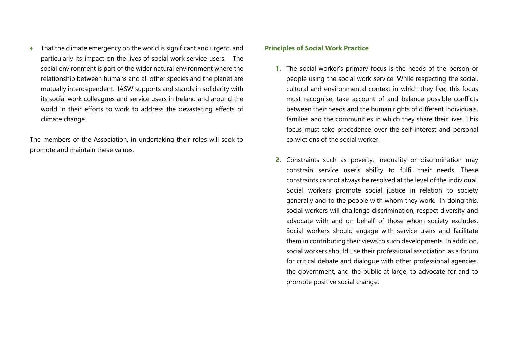• That the climate emergency on the world is significant and urgent, and particularly its impact on the lives of social work service users. The social environment is part of the wider natural environment where the relationship between humans and all other species and the planet are mutually interdependent. IASW supports and stands in solidarity with its social work colleagues and service users in Ireland and around the world in their efforts to work to address the devastating effects of climate change.

The members of the Association, in undertaking their roles will seek to promote and maintain these values.

## **Principles of Social Work Practice**

- **1.** The social worker's primary focus is the needs of the person or people using the social work service. While respecting the social, cultural and environmental context in which they live, this focus must recognise, take account of and balance possible conflicts between their needs and the human rights of different individuals, families and the communities in which they share their lives. This focus must take precedence over the self-interest and personal convictions of the social worker.
- **2.** Constraints such as poverty, inequality or discrimination may constrain service user's ability to fulfil their needs. These constraints cannot always be resolved at the level of the individual. Social workers promote social justice in relation to society generally and to the people with whom they work. In doing this, social workers will challenge discrimination, respect diversity and advocate with and on behalf of those whom society excludes. Social workers should engage with service users and facilitate them in contributing their views to such developments. In addition, social workers should use their professional association as a forum for critical debate and dialogue with other professional agencies, the government, and the public at large, to advocate for and to promote positive social change.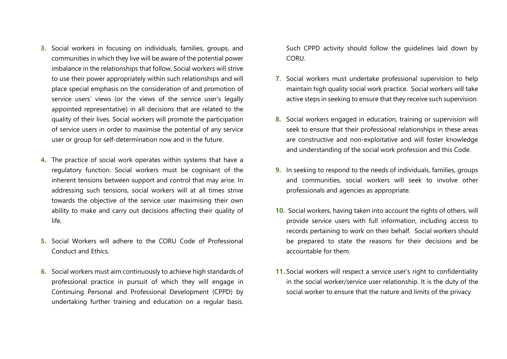- **3.** Social workers in focusing on individuals, families, groups, and communities in which they live will be aware of the potential power imbalance in the relationships that follow. Social workers will strive to use their power appropriately within such relationships and will place special emphasis on the consideration of and promotion of service users' views (or the views of the service user's legally appointed representative) in all decisions that are related to the quality of their lives. Social workers will promote the participation of service users in order to maximise the potential of any service user or group for self-determination now and in the future.
- **4.** The practice of social work operates within systems that have a regulatory function. Social workers must be cognisant of the inherent tensions between support and control that may arise. In addressing such tensions, social workers will at all times strive towards the objective of the service user maximising their own ability to make and carry out decisions affecting their quality of life.
- **5.** Social Workers will adhere to the CORU Code of Professional Conduct and Ethics.
- **6.** Social workers must aim continuously to achieve high standards of professional practice in pursuit of which they will engage in Continuing Personal and Professional Development (CPPD) by undertaking further training and education on a regular basis.

Such CPPD activity should follow the guidelines laid down by **CORU.** 

- **7.** Social workers must undertake professional supervision to help maintain high quality social work practice. Social workers will take active steps in seeking to ensure that they receive such supervision.
- **8.** Social workers engaged in education, training or supervision will seek to ensure that their professional relationships in these areas are constructive and non-exploitative and will foster knowledge and understanding of the social work profession and this Code.
- **9.** In seeking to respond to the needs of individuals, families, groups and communities, social workers will seek to involve other professionals and agencies as appropriate.
- **10.** Social workers, having taken into account the rights of others, will provide service users with full information, including access to records pertaining to work on their behalf. Social workers should be prepared to state the reasons for their decisions and be accountable for them.
- **11.** Social workers will respect a service user's right to confidentiality in the social worker/service user relationship. It is the duty of the social worker to ensure that the nature and limits of the privacy